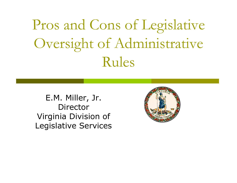Pros and Cons of Legislative Oversight of Administrative Rules

E.M. Miller, Jr. DirectorVirginia Division of Legislative Services

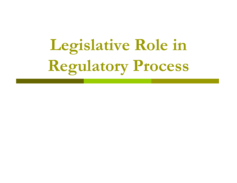# **Legislative Role in Regulatory Process**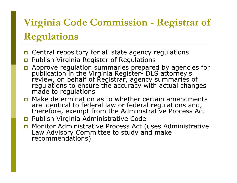## **Virginia Code Commission - Registrar of Regulations**

- **D** Central repository for all state agency regulations
- $\Box$ Publish Virginia Register of Regulations
- Approve regulation summaries prepared by agencies for publication in the Virginia Register- DLS attorney's<br>review, on behalf of Registrar, agency summaries of<br>regulations to ensure the accuracy with actual changes<br>made to regulations
- **n** Make determination as to whether certain amendments are identical to federal law or federal regulations and, therefore, exempt from the Administrative Process Act
- Publish Virginia Administrative Code
- Monitor Administrative Process Act (uses Administrative Law Advisory Committee to study and make recommendations)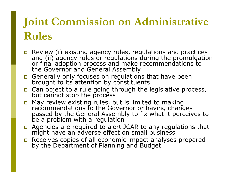### **Joint Commission on Administrative Rules**

- **E** Review (i) existing agency rules, regulations and practices Review (i) existing agency rules, regulations and practices and (ii) agency rules or regulations during the promulgation or final adoption process and make recommendations to the Governor and General Assembly
- Generally only focuses on regulations that have been<br>brought to its attention by constituents
- **OF** Can object to a rule going through the legislative process,<br>but cannot stop the process
- May review existing rules, but is limited to making May review existing rules, but is limited to making<br>recommendations to the Governor or having changes<br>passed by the General Assembly to fix what it perceives to be a problem with a regulation
- Agencies are required to alert JCAR to any regulations that might have an adverse effect on small business
- Receives copies of all economic impact analyses prepared by the Department of Planning and Budget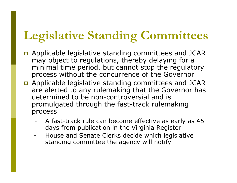# **Legislative Standing Committees**

- Applicable legislative standing committees and JCAR may object to regulations, thereby delaying for a minimal time period, but cannot stop the regulatory process without the concurrence of the Governor
- Applicable legislative standing committees and JCAR are alerted to any rulemaking that the Governor has determined to be non-controversial and is promulgated through the fast-track rulemaking process
	- A fast-track rule can become effective as early as 45 days from publication in the Virginia Register
	- House and Senate Clerks decide which legislative standing committee the agency will notify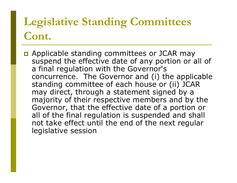### **Legislative Standing Committees Cont.**

**D** Applicable standing committees or JCAR may suspend the effective date of any portion or all of a final regulation with the Governor's concurrence. The Governor and (i) the applicable standing committee of each house or (ii) JCAR may direct, through a statement signed by a majority of their respective members and by the Governor, that the effective date of a portion or all of the final regulation is suspended and shall not take effect until the end of the next regular legislative session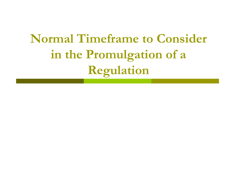# **Normal Timeframe to Consider in the Promulgation of a Regulation**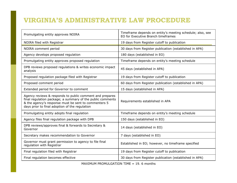#### **VIRGINIA'S ADMINISTRATIVE LAW PROCEDURE**

| Promulgating entity approves NOIRA                                                                                                                                                                                               | Timeframe depends on entity's meeting schedule; also, see<br>EO for Executive Branch timeframes |
|----------------------------------------------------------------------------------------------------------------------------------------------------------------------------------------------------------------------------------|-------------------------------------------------------------------------------------------------|
| NOIRA filed with Registrar                                                                                                                                                                                                       | 19 days from Register cutoff to publication                                                     |
| NOIRA comment period                                                                                                                                                                                                             | 30 days from Register publication (established in APA)                                          |
| Agency develops proposed regulation                                                                                                                                                                                              | 180 days (established in EO)                                                                    |
| Promulgating entity approves proposed regulation                                                                                                                                                                                 | Timeframe depends on entity's meeting schedule                                                  |
| DPB reviews proposed regulations & writes economic impact<br>analysis                                                                                                                                                            | 45 days (established in APA)                                                                    |
| Proposed regulation package filed with Registrar                                                                                                                                                                                 | 19 days from Register cutoff to publication                                                     |
| Proposed comment period                                                                                                                                                                                                          | 60 days from Register publication (established in APA)                                          |
| Extended period for Governor to comment                                                                                                                                                                                          | 15 days (established in APA)                                                                    |
| Agency reviews & responds to public comment and prepares<br>final regulation package; a summary of the public comments<br>& the agency's response must be sent to commenters 5<br>days prior to final adoption of the regulation | Requirements established in APA                                                                 |
| Promulgating entity adopts final regulation                                                                                                                                                                                      | Timeframe depends on entity's meeting schedule                                                  |
| Agency files final regulation package with DPB                                                                                                                                                                                   | 150 days (established in EO)                                                                    |
| DPB reviews/approves final & forwards to Secretary &<br>Governor                                                                                                                                                                 | 14 days (established in EO)                                                                     |
| Secretary makes recommendation to Governor                                                                                                                                                                                       | 7 days (established in EO)                                                                      |
| Governor must grant permission to agency to file final<br>regulation with Registrar                                                                                                                                              | Established in EO; however, no timeframe specified                                              |
| Final regulation filed with Registrar                                                                                                                                                                                            | 19 days from Register cutoff to publication                                                     |
| Final regulation becomes effective                                                                                                                                                                                               | 30 days from Register publication (established in APA)                                          |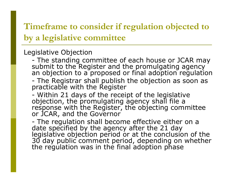### **Timeframe to consider if regulation objected to by a legislative committee**

#### Legislative Objection

- The standing committee of each house or JCAR may submit to the Register and the promulgating agency<br>an objection to a proposed or final adoption regulation
- -- The Registrar shall publish the objection as soon as<br>practicable with the Register
- Within 21 days of the receipt of the legislative objection, the promulgating agency shall file a<br>response with the Register, the objecting committee<br>or JCAR, and the Governor

- The regulation shall become effective either on a date specified by the agency after the 21 day<br>legislative objection period or at the conclusion of the<br>30 day public comment period, depending on whether<br>the regulation was in the final adoption phase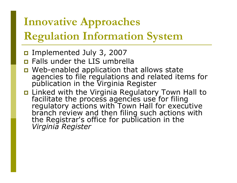## **Innovative Approaches Regulation Information System**

- Implemented July 3, 2007
- **n** Falls under the LIS umbrella
- **D** Web-enabled application that allows state agencies to file regulations and related items for<br>publication in the Virginia Register
- **E** Linked with the Virginia Regulatory Town Hall to facilitate the process agencies use for filing<br>regulatory actions with Town Hall for executive<br>branch review and then filing such actions with<br>the Registrar's office for publication in the *Virginia Register*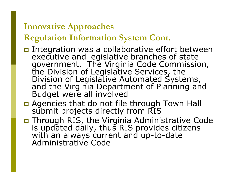### **Innovative Approaches**

### **Regulation Information System Cont.**

- Integration was a collaborative effort between executive and legislative branches of state<br>government. The Virginia Code Commission,<br>the Division of Legislative Services, the<br>Division of Legislative Automated Systems,<br>and the Virginia Department of Planning and<br>Budget
- **Q** Agencies that do not file through Town Hall submit projects directly from RIS
- **D** Through RIS, the Virginia Administrative Code is updated daily, thus RIS provides citizens with an always current and up-to-date Administrative Code